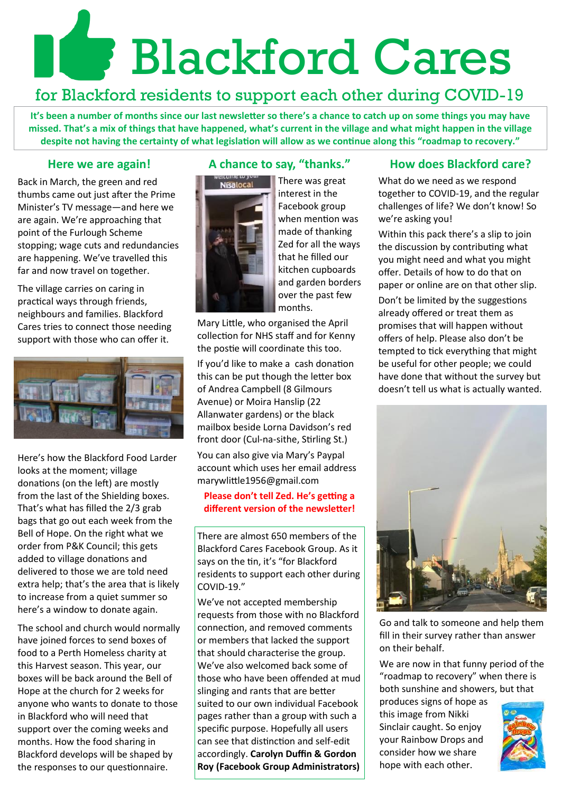# **Blackford Cares**

# for Blackford residents to support each other during COVID-19

**It's been a number of months since our last newsletter so there's a chance to catch up on some things you may have missed. That's a mix of things that have happened, what's current in the village and what might happen in the village despite not having the certainty of what legislation will allow as we continue along this "roadmap to recovery."** 

# **Here we are again!**

Back in March, the green and red thumbs came out just after the Prime Minister's TV message—and here we are again. We're approaching that point of the Furlough Scheme stopping; wage cuts and redundancies are happening. We've travelled this far and now travel on together.

The village carries on caring in practical ways through friends, neighbours and families. Blackford Cares tries to connect those needing support with those who can offer it.



Here's how the Blackford Food Larder looks at the moment; village donations (on the left) are mostly from the last of the Shielding boxes. That's what has filled the 2/3 grab bags that go out each week from the Bell of Hope. On the right what we order from P&K Council; this gets added to village donations and delivered to those we are told need extra help; that's the area that is likely to increase from a quiet summer so here's a window to donate again.

The school and church would normally have joined forces to send boxes of food to a Perth Homeless charity at this Harvest season. This year, our boxes will be back around the Bell of Hope at the church for 2 weeks for anyone who wants to donate to those in Blackford who will need that support over the coming weeks and months. How the food sharing in Blackford develops will be shaped by the responses to our questionnaire.

# **A chance to say, "thanks."**



There was great interest in the Facebook group when mention was made of thanking Zed for all the ways that he filled our kitchen cupboards and garden borders over the past few months.

Mary Little, who organised the April collection for NHS staff and for Kenny the postie will coordinate this too.

If you'd like to make a cash donation this can be put though the letter box of Andrea Campbell (8 Gilmours Avenue) or Moira Hanslip (22 Allanwater gardens) or the black mailbox beside Lorna Davidson's red front door (Cul-na-sithe, Stirling St.)

You can also give via Mary's Paypal account which uses her email address marywlittle1956@gmail.com

## **Please don't tell Zed. He's getting a different version of the newsletter!**

There are almost 650 members of the Blackford Cares Facebook Group. As it says on the tin, it's "for Blackford residents to support each other during COVID-19."

We've not accepted membership requests from those with no Blackford connection, and removed comments or members that lacked the support that should characterise the group. We've also welcomed back some of those who have been offended at mud slinging and rants that are better suited to our own individual Facebook pages rather than a group with such a specific purpose. Hopefully all users can see that distinction and self-edit accordingly. **Carolyn Duffin & Gordon Roy (Facebook Group Administrators)**

# **How does Blackford care?**

What do we need as we respond together to COVID-19, and the regular challenges of life? We don't know! So we're asking you!

Within this pack there's a slip to join the discussion by contributing what you might need and what you might offer. Details of how to do that on paper or online are on that other slip. Don't be limited by the suggestions already offered or treat them as promises that will happen without offers of help. Please also don't be tempted to tick everything that might be useful for other people; we could have done that without the survey but doesn't tell us what is actually wanted.



Go and talk to someone and help them fill in their survey rather than answer on their behalf.

We are now in that funny period of the "roadmap to recovery" when there is both sunshine and showers, but that

produces signs of hope as this image from Nikki Sinclair caught. So enjoy your Rainbow Drops and consider how we share hope with each other.

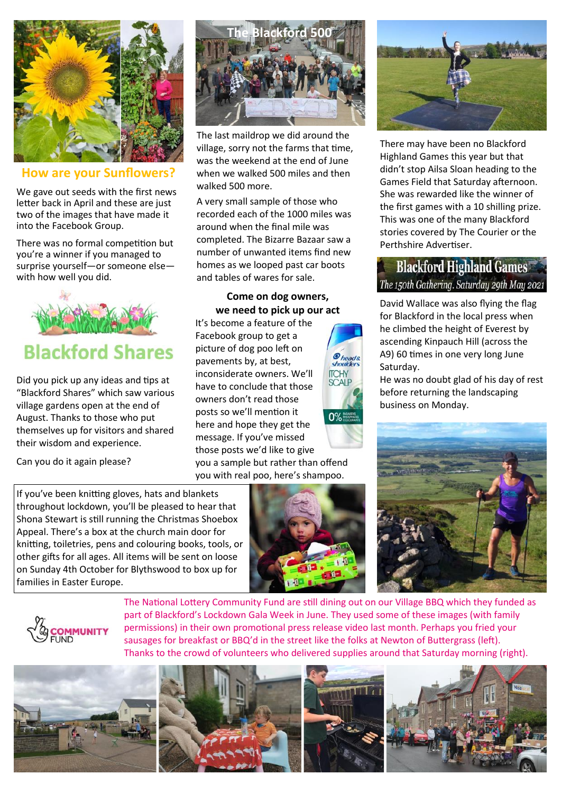

**How are your Sunflowers?**

We gave out seeds with the first news letter back in April and these are just two of the images that have made it into the Facebook Group.

There was no formal competition but you're a winner if you managed to surprise yourself—or someone else with how well you did.



Did you pick up any ideas and tips at "Blackford Shares" which saw various village gardens open at the end of August. Thanks to those who put themselves up for visitors and shared their wisdom and experience.

Can you do it again please?

**The Blackford 500**

The last maildrop we did around the village, sorry not the farms that time, was the weekend at the end of June when we walked 500 miles and then walked 500 more.

A very small sample of those who recorded each of the 1000 miles was around when the final mile was completed. The Bizarre Bazaar saw a number of unwanted items find new homes as we looped past car boots and tables of wares for sale.

# **Come on dog owners, we need to pick up our act**

It's become a feature of the Facebook group to get a picture of dog poo left on pavements by, at best, inconsiderate owners. We'll have to conclude that those owners don't read those posts so we'll mention it here and hope they get the message. If you've missed those posts we'd like to give you a sample but rather than offend

you with real poo, here's shampoo.







There may have been no Blackford Highland Games this year but that didn't stop Ailsa Sloan heading to the Games Field that Saturday afternoon. She was rewarded like the winner of the first games with a 10 shilling prize. This was one of the many Blackford stories covered by The Courier or the Perthshire Advertiser.

# **Blackford Highland Games** The 150th Gathering. Saturday 29th May 2021

David Wallace was also flying the flag for Blackford in the local press when he climbed the height of Everest by ascending Kinpauch Hill (across the A9) 60 times in one very long June Saturday.

He was no doubt glad of his day of rest before returning the landscaping business on Monday.





The National Lottery Community Fund are still dining out on our Village BBQ which they funded as part of Blackford's Lockdown Gala Week in June. They used some of these images (with family permissions) in their own promotional press release video last month. Perhaps you fried your sausages for breakfast or BBQ'd in the street like the folks at Newton of Buttergrass (left). Thanks to the crowd of volunteers who delivered supplies around that Saturday morning (right).



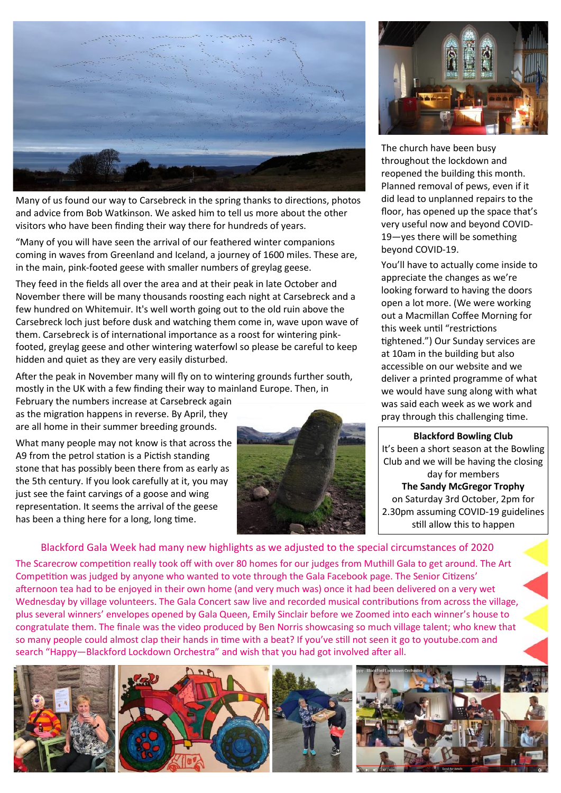

Many of us found our way to Carsebreck in the spring thanks to directions, photos and advice from Bob Watkinson. We asked him to tell us more about the other visitors who have been finding their way there for hundreds of years.

"Many of you will have seen the arrival of our feathered winter companions coming in waves from Greenland and Iceland, a journey of 1600 miles. These are, in the main, pink-footed geese with smaller numbers of greylag geese.

They feed in the fields all over the area and at their peak in late October and November there will be many thousands roosting each night at Carsebreck and a few hundred on Whitemuir. It's well worth going out to the old ruin above the Carsebreck loch just before dusk and watching them come in, wave upon wave of them. Carsebreck is of international importance as a roost for wintering pinkfooted, greylag geese and other wintering waterfowl so please be careful to keep hidden and quiet as they are very easily disturbed.

After the peak in November many will fly on to wintering grounds further south, mostly in the UK with a few finding their way to mainland Europe. Then, in

February the numbers increase at Carsebreck again as the migration happens in reverse. By April, they are all home in their summer breeding grounds.

What many people may not know is that across the A9 from the petrol station is a Pictish standing stone that has possibly been there from as early as the 5th century. If you look carefully at it, you may just see the faint carvings of a goose and wing representation. It seems the arrival of the geese has been a thing here for a long, long time.





The church have been busy throughout the lockdown and reopened the building this month. Planned removal of pews, even if it did lead to unplanned repairs to the floor, has opened up the space that's very useful now and beyond COVID-19—yes there will be something beyond COVID-19.

You'll have to actually come inside to appreciate the changes as we're looking forward to having the doors open a lot more. (We were working out a Macmillan Coffee Morning for this week until "restrictions tightened.") Our Sunday services are at 10am in the building but also accessible on our website and we deliver a printed programme of what we would have sung along with what was said each week as we work and pray through this challenging time.

#### **Blackford Bowling Club** It's been a short season at the Bowling Club and we will be having the closing day for members **The Sandy McGregor Trophy** on Saturday 3rd October, 2pm for 2.30pm assuming COVID-19 guidelines still allow this to happen

Blackford Gala Week had many new highlights as we adjusted to the special circumstances of 2020

The Scarecrow competition really took off with over 80 homes for our judges from Muthill Gala to get around. The Art Competition was judged by anyone who wanted to vote through the Gala Facebook page. The Senior Citizens' afternoon tea had to be enjoyed in their own home (and very much was) once it had been delivered on a very wet Wednesday by village volunteers. The Gala Concert saw live and recorded musical contributions from across the village, plus several winners' envelopes opened by Gala Queen, Emily Sinclair before we Zoomed into each winner's house to congratulate them. The finale was the video produced by Ben Norris showcasing so much village talent; who knew that so many people could almost clap their hands in time with a beat? If you've still not seen it go to youtube.com and search "Happy—Blackford Lockdown Orchestra" and wish that you had got involved after all.